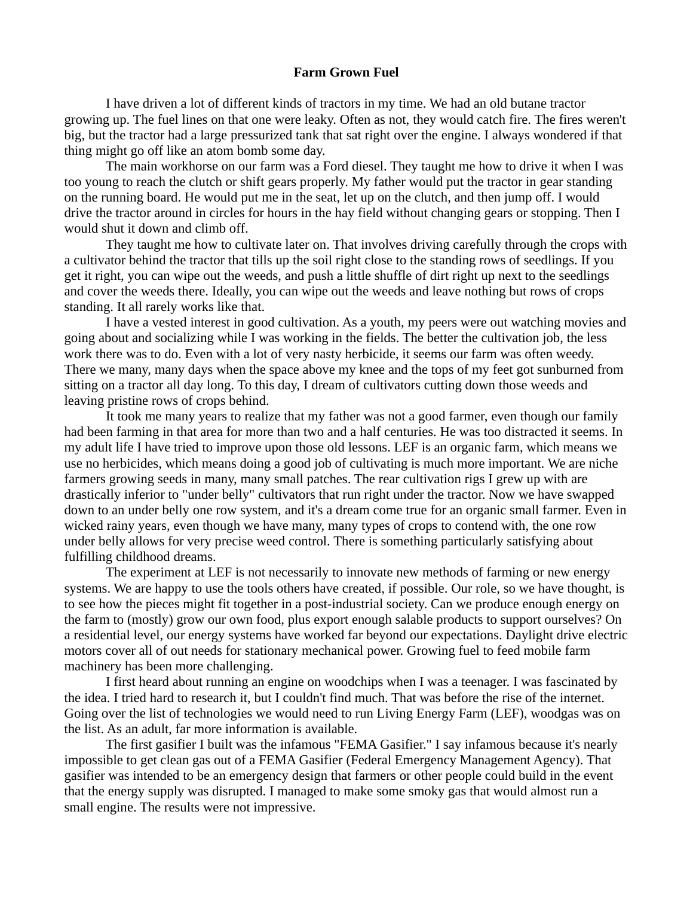## **Farm Grown Fuel**

I have driven a lot of different kinds of tractors in my time. We had an old butane tractor growing up. The fuel lines on that one were leaky. Often as not, they would catch fire. The fires weren't big, but the tractor had a large pressurized tank that sat right over the engine. I always wondered if that thing might go off like an atom bomb some day.

The main workhorse on our farm was a Ford diesel. They taught me how to drive it when I was too young to reach the clutch or shift gears properly. My father would put the tractor in gear standing on the running board. He would put me in the seat, let up on the clutch, and then jump off. I would drive the tractor around in circles for hours in the hay field without changing gears or stopping. Then I would shut it down and climb off.

They taught me how to cultivate later on. That involves driving carefully through the crops with a cultivator behind the tractor that tills up the soil right close to the standing rows of seedlings. If you get it right, you can wipe out the weeds, and push a little shuffle of dirt right up next to the seedlings and cover the weeds there. Ideally, you can wipe out the weeds and leave nothing but rows of crops standing. It all rarely works like that.

I have a vested interest in good cultivation. As a youth, my peers were out watching movies and going about and socializing while I was working in the fields. The better the cultivation job, the less work there was to do. Even with a lot of very nasty herbicide, it seems our farm was often weedy. There we many, many days when the space above my knee and the tops of my feet got sunburned from sitting on a tractor all day long. To this day, I dream of cultivators cutting down those weeds and leaving pristine rows of crops behind.

It took me many years to realize that my father was not a good farmer, even though our family had been farming in that area for more than two and a half centuries. He was too distracted it seems. In my adult life I have tried to improve upon those old lessons. LEF is an organic farm, which means we use no herbicides, which means doing a good job of cultivating is much more important. We are niche farmers growing seeds in many, many small patches. The rear cultivation rigs I grew up with are drastically inferior to "under belly" cultivators that run right under the tractor. Now we have swapped down to an under belly one row system, and it's a dream come true for an organic small farmer. Even in wicked rainy years, even though we have many, many types of crops to contend with, the one row under belly allows for very precise weed control. There is something particularly satisfying about fulfilling childhood dreams.

The experiment at LEF is not necessarily to innovate new methods of farming or new energy systems. We are happy to use the tools others have created, if possible. Our role, so we have thought, is to see how the pieces might fit together in a post-industrial society. Can we produce enough energy on the farm to (mostly) grow our own food, plus export enough salable products to support ourselves? On a residential level, our energy systems have worked far beyond our expectations. Daylight drive electric motors cover all of out needs for stationary mechanical power. Growing fuel to feed mobile farm machinery has been more challenging.

I first heard about running an engine on woodchips when I was a teenager. I was fascinated by the idea. I tried hard to research it, but I couldn't find much. That was before the rise of the internet. Going over the list of technologies we would need to run Living Energy Farm (LEF), woodgas was on the list. As an adult, far more information is available.

The first gasifier I built was the infamous "FEMA Gasifier." I say infamous because it's nearly impossible to get clean gas out of a FEMA Gasifier (Federal Emergency Management Agency). That gasifier was intended to be an emergency design that farmers or other people could build in the event that the energy supply was disrupted. I managed to make some smoky gas that would almost run a small engine. The results were not impressive.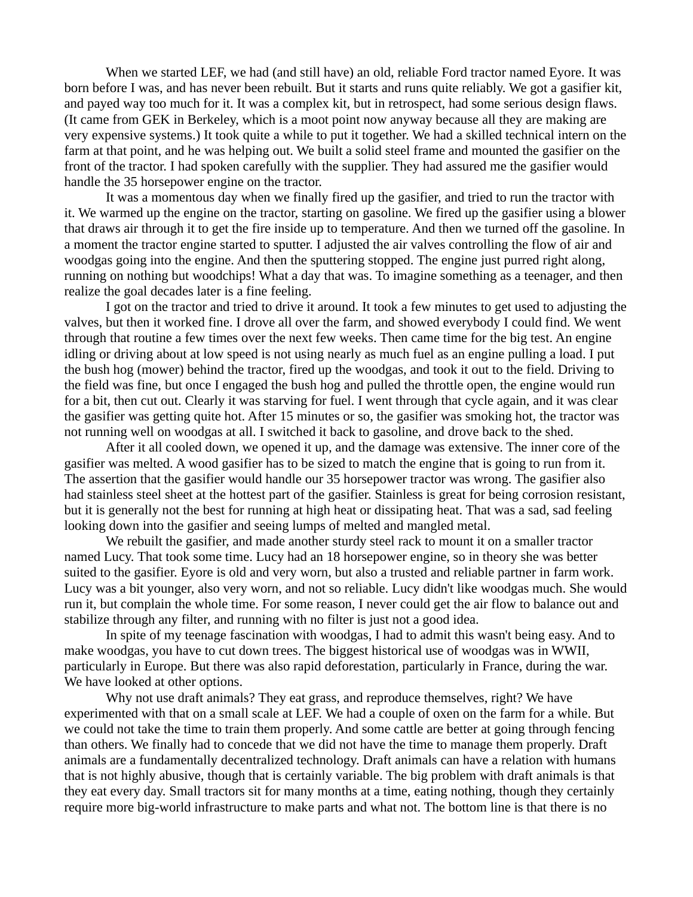When we started LEF, we had (and still have) an old, reliable Ford tractor named Eyore. It was born before I was, and has never been rebuilt. But it starts and runs quite reliably. We got a gasifier kit, and payed way too much for it. It was a complex kit, but in retrospect, had some serious design flaws. (It came from GEK in Berkeley, which is a moot point now anyway because all they are making are very expensive systems.) It took quite a while to put it together. We had a skilled technical intern on the farm at that point, and he was helping out. We built a solid steel frame and mounted the gasifier on the front of the tractor. I had spoken carefully with the supplier. They had assured me the gasifier would handle the 35 horsepower engine on the tractor.

It was a momentous day when we finally fired up the gasifier, and tried to run the tractor with it. We warmed up the engine on the tractor, starting on gasoline. We fired up the gasifier using a blower that draws air through it to get the fire inside up to temperature. And then we turned off the gasoline. In a moment the tractor engine started to sputter. I adjusted the air valves controlling the flow of air and woodgas going into the engine. And then the sputtering stopped. The engine just purred right along, running on nothing but woodchips! What a day that was. To imagine something as a teenager, and then realize the goal decades later is a fine feeling.

I got on the tractor and tried to drive it around. It took a few minutes to get used to adjusting the valves, but then it worked fine. I drove all over the farm, and showed everybody I could find. We went through that routine a few times over the next few weeks. Then came time for the big test. An engine idling or driving about at low speed is not using nearly as much fuel as an engine pulling a load. I put the bush hog (mower) behind the tractor, fired up the woodgas, and took it out to the field. Driving to the field was fine, but once I engaged the bush hog and pulled the throttle open, the engine would run for a bit, then cut out. Clearly it was starving for fuel. I went through that cycle again, and it was clear the gasifier was getting quite hot. After 15 minutes or so, the gasifier was smoking hot, the tractor was not running well on woodgas at all. I switched it back to gasoline, and drove back to the shed.

After it all cooled down, we opened it up, and the damage was extensive. The inner core of the gasifier was melted. A wood gasifier has to be sized to match the engine that is going to run from it. The assertion that the gasifier would handle our 35 horsepower tractor was wrong. The gasifier also had stainless steel sheet at the hottest part of the gasifier. Stainless is great for being corrosion resistant, but it is generally not the best for running at high heat or dissipating heat. That was a sad, sad feeling looking down into the gasifier and seeing lumps of melted and mangled metal.

We rebuilt the gasifier, and made another sturdy steel rack to mount it on a smaller tractor named Lucy. That took some time. Lucy had an 18 horsepower engine, so in theory she was better suited to the gasifier. Eyore is old and very worn, but also a trusted and reliable partner in farm work. Lucy was a bit younger, also very worn, and not so reliable. Lucy didn't like woodgas much. She would run it, but complain the whole time. For some reason, I never could get the air flow to balance out and stabilize through any filter, and running with no filter is just not a good idea.

In spite of my teenage fascination with woodgas, I had to admit this wasn't being easy. And to make woodgas, you have to cut down trees. The biggest historical use of woodgas was in WWII, particularly in Europe. But there was also rapid deforestation, particularly in France, during the war. We have looked at other options.

Why not use draft animals? They eat grass, and reproduce themselves, right? We have experimented with that on a small scale at LEF. We had a couple of oxen on the farm for a while. But we could not take the time to train them properly. And some cattle are better at going through fencing than others. We finally had to concede that we did not have the time to manage them properly. Draft animals are a fundamentally decentralized technology. Draft animals can have a relation with humans that is not highly abusive, though that is certainly variable. The big problem with draft animals is that they eat every day. Small tractors sit for many months at a time, eating nothing, though they certainly require more big-world infrastructure to make parts and what not. The bottom line is that there is no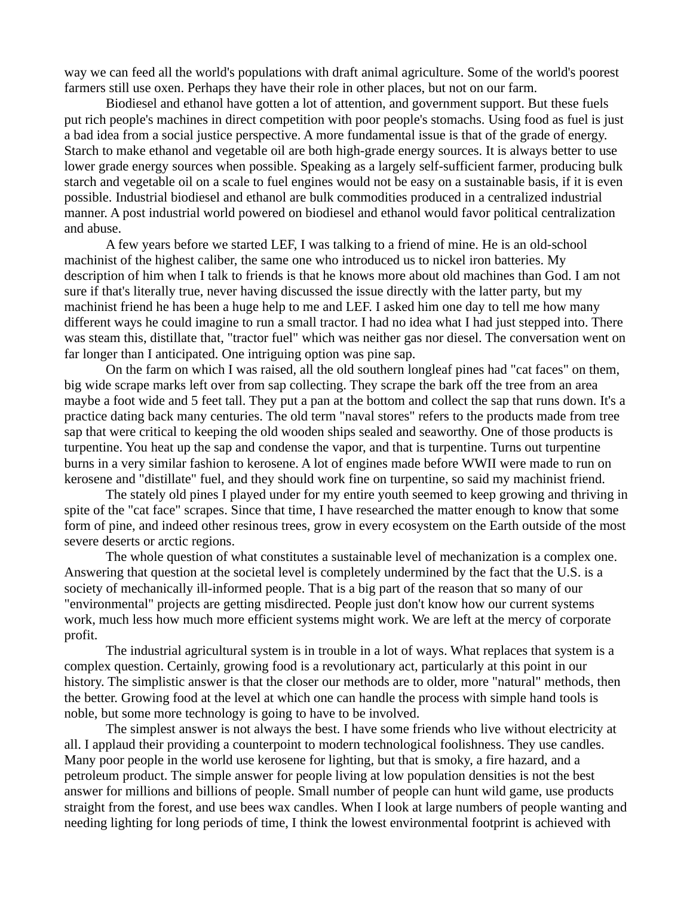way we can feed all the world's populations with draft animal agriculture. Some of the world's poorest farmers still use oxen. Perhaps they have their role in other places, but not on our farm.

Biodiesel and ethanol have gotten a lot of attention, and government support. But these fuels put rich people's machines in direct competition with poor people's stomachs. Using food as fuel is just a bad idea from a social justice perspective. A more fundamental issue is that of the grade of energy. Starch to make ethanol and vegetable oil are both high-grade energy sources. It is always better to use lower grade energy sources when possible. Speaking as a largely self-sufficient farmer, producing bulk starch and vegetable oil on a scale to fuel engines would not be easy on a sustainable basis, if it is even possible. Industrial biodiesel and ethanol are bulk commodities produced in a centralized industrial manner. A post industrial world powered on biodiesel and ethanol would favor political centralization and abuse.

A few years before we started LEF, I was talking to a friend of mine. He is an old-school machinist of the highest caliber, the same one who introduced us to nickel iron batteries. My description of him when I talk to friends is that he knows more about old machines than God. I am not sure if that's literally true, never having discussed the issue directly with the latter party, but my machinist friend he has been a huge help to me and LEF. I asked him one day to tell me how many different ways he could imagine to run a small tractor. I had no idea what I had just stepped into. There was steam this, distillate that, "tractor fuel" which was neither gas nor diesel. The conversation went on far longer than I anticipated. One intriguing option was pine sap.

On the farm on which I was raised, all the old southern longleaf pines had "cat faces" on them, big wide scrape marks left over from sap collecting. They scrape the bark off the tree from an area maybe a foot wide and 5 feet tall. They put a pan at the bottom and collect the sap that runs down. It's a practice dating back many centuries. The old term "naval stores" refers to the products made from tree sap that were critical to keeping the old wooden ships sealed and seaworthy. One of those products is turpentine. You heat up the sap and condense the vapor, and that is turpentine. Turns out turpentine burns in a very similar fashion to kerosene. A lot of engines made before WWII were made to run on kerosene and "distillate" fuel, and they should work fine on turpentine, so said my machinist friend.

The stately old pines I played under for my entire youth seemed to keep growing and thriving in spite of the "cat face" scrapes. Since that time, I have researched the matter enough to know that some form of pine, and indeed other resinous trees, grow in every ecosystem on the Earth outside of the most severe deserts or arctic regions.

The whole question of what constitutes a sustainable level of mechanization is a complex one. Answering that question at the societal level is completely undermined by the fact that the U.S. is a society of mechanically ill-informed people. That is a big part of the reason that so many of our "environmental" projects are getting misdirected. People just don't know how our current systems work, much less how much more efficient systems might work. We are left at the mercy of corporate profit.

The industrial agricultural system is in trouble in a lot of ways. What replaces that system is a complex question. Certainly, growing food is a revolutionary act, particularly at this point in our history. The simplistic answer is that the closer our methods are to older, more "natural" methods, then the better. Growing food at the level at which one can handle the process with simple hand tools is noble, but some more technology is going to have to be involved.

The simplest answer is not always the best. I have some friends who live without electricity at all. I applaud their providing a counterpoint to modern technological foolishness. They use candles. Many poor people in the world use kerosene for lighting, but that is smoky, a fire hazard, and a petroleum product. The simple answer for people living at low population densities is not the best answer for millions and billions of people. Small number of people can hunt wild game, use products straight from the forest, and use bees wax candles. When I look at large numbers of people wanting and needing lighting for long periods of time, I think the lowest environmental footprint is achieved with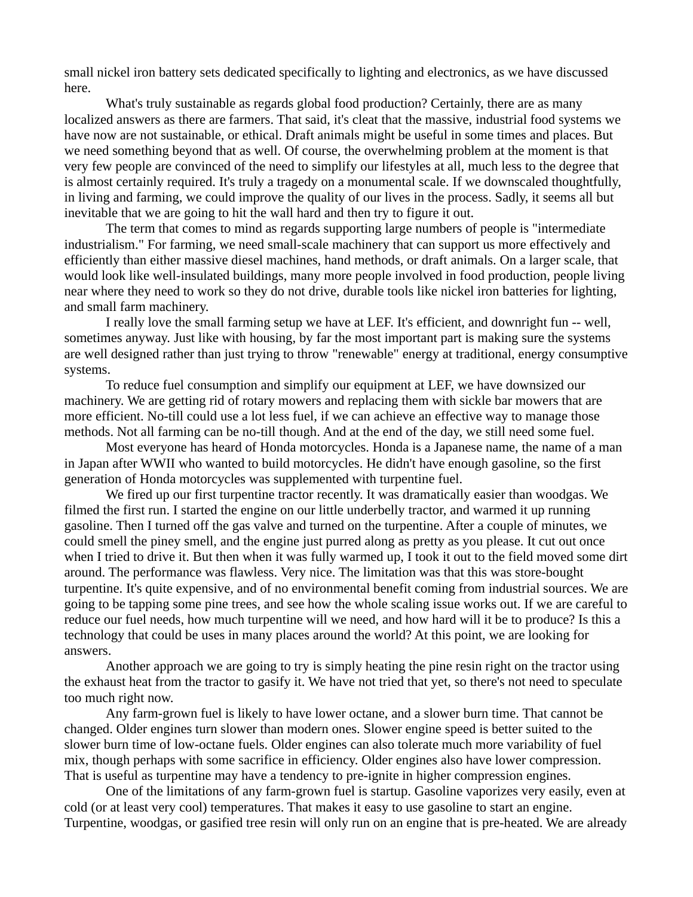small nickel iron battery sets dedicated specifically to lighting and electronics, as we have discussed here.

What's truly sustainable as regards global food production? Certainly, there are as many localized answers as there are farmers. That said, it's cleat that the massive, industrial food systems we have now are not sustainable, or ethical. Draft animals might be useful in some times and places. But we need something beyond that as well. Of course, the overwhelming problem at the moment is that very few people are convinced of the need to simplify our lifestyles at all, much less to the degree that is almost certainly required. It's truly a tragedy on a monumental scale. If we downscaled thoughtfully, in living and farming, we could improve the quality of our lives in the process. Sadly, it seems all but inevitable that we are going to hit the wall hard and then try to figure it out.

The term that comes to mind as regards supporting large numbers of people is "intermediate industrialism." For farming, we need small-scale machinery that can support us more effectively and efficiently than either massive diesel machines, hand methods, or draft animals. On a larger scale, that would look like well-insulated buildings, many more people involved in food production, people living near where they need to work so they do not drive, durable tools like nickel iron batteries for lighting, and small farm machinery.

I really love the small farming setup we have at LEF. It's efficient, and downright fun -- well, sometimes anyway. Just like with housing, by far the most important part is making sure the systems are well designed rather than just trying to throw "renewable" energy at traditional, energy consumptive systems.

To reduce fuel consumption and simplify our equipment at LEF, we have downsized our machinery. We are getting rid of rotary mowers and replacing them with sickle bar mowers that are more efficient. No-till could use a lot less fuel, if we can achieve an effective way to manage those methods. Not all farming can be no-till though. And at the end of the day, we still need some fuel.

Most everyone has heard of Honda motorcycles. Honda is a Japanese name, the name of a man in Japan after WWII who wanted to build motorcycles. He didn't have enough gasoline, so the first generation of Honda motorcycles was supplemented with turpentine fuel.

We fired up our first turpentine tractor recently. It was dramatically easier than woodgas. We filmed the first run. I started the engine on our little underbelly tractor, and warmed it up running gasoline. Then I turned off the gas valve and turned on the turpentine. After a couple of minutes, we could smell the piney smell, and the engine just purred along as pretty as you please. It cut out once when I tried to drive it. But then when it was fully warmed up, I took it out to the field moved some dirt around. The performance was flawless. Very nice. The limitation was that this was store-bought turpentine. It's quite expensive, and of no environmental benefit coming from industrial sources. We are going to be tapping some pine trees, and see how the whole scaling issue works out. If we are careful to reduce our fuel needs, how much turpentine will we need, and how hard will it be to produce? Is this a technology that could be uses in many places around the world? At this point, we are looking for answers.

Another approach we are going to try is simply heating the pine resin right on the tractor using the exhaust heat from the tractor to gasify it. We have not tried that yet, so there's not need to speculate too much right now.

Any farm-grown fuel is likely to have lower octane, and a slower burn time. That cannot be changed. Older engines turn slower than modern ones. Slower engine speed is better suited to the slower burn time of low-octane fuels. Older engines can also tolerate much more variability of fuel mix, though perhaps with some sacrifice in efficiency. Older engines also have lower compression. That is useful as turpentine may have a tendency to pre-ignite in higher compression engines.

One of the limitations of any farm-grown fuel is startup. Gasoline vaporizes very easily, even at cold (or at least very cool) temperatures. That makes it easy to use gasoline to start an engine. Turpentine, woodgas, or gasified tree resin will only run on an engine that is pre-heated. We are already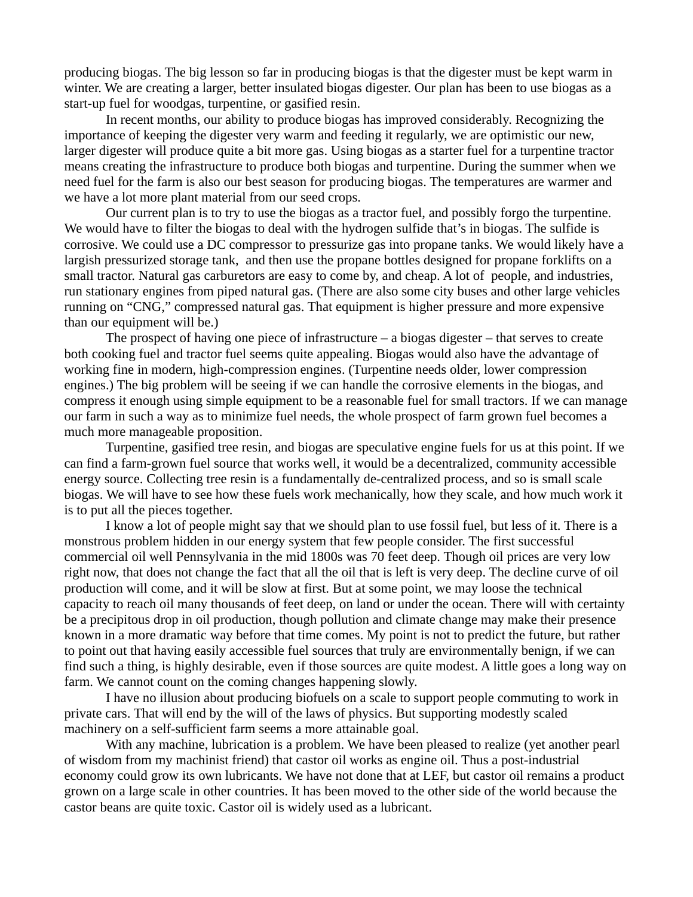producing biogas. The big lesson so far in producing biogas is that the digester must be kept warm in winter. We are creating a larger, better insulated biogas digester. Our plan has been to use biogas as a start-up fuel for woodgas, turpentine, or gasified resin.

In recent months, our ability to produce biogas has improved considerably. Recognizing the importance of keeping the digester very warm and feeding it regularly, we are optimistic our new, larger digester will produce quite a bit more gas. Using biogas as a starter fuel for a turpentine tractor means creating the infrastructure to produce both biogas and turpentine. During the summer when we need fuel for the farm is also our best season for producing biogas. The temperatures are warmer and we have a lot more plant material from our seed crops.

Our current plan is to try to use the biogas as a tractor fuel, and possibly forgo the turpentine. We would have to filter the biogas to deal with the hydrogen sulfide that's in biogas. The sulfide is corrosive. We could use a DC compressor to pressurize gas into propane tanks. We would likely have a largish pressurized storage tank, and then use the propane bottles designed for propane forklifts on a small tractor. Natural gas carburetors are easy to come by, and cheap. A lot of people, and industries, run stationary engines from piped natural gas. (There are also some city buses and other large vehicles running on "CNG," compressed natural gas. That equipment is higher pressure and more expensive than our equipment will be.)

The prospect of having one piece of infrastructure – a biogas digester – that serves to create both cooking fuel and tractor fuel seems quite appealing. Biogas would also have the advantage of working fine in modern, high-compression engines. (Turpentine needs older, lower compression engines.) The big problem will be seeing if we can handle the corrosive elements in the biogas, and compress it enough using simple equipment to be a reasonable fuel for small tractors. If we can manage our farm in such a way as to minimize fuel needs, the whole prospect of farm grown fuel becomes a much more manageable proposition.

Turpentine, gasified tree resin, and biogas are speculative engine fuels for us at this point. If we can find a farm-grown fuel source that works well, it would be a decentralized, community accessible energy source. Collecting tree resin is a fundamentally de-centralized process, and so is small scale biogas. We will have to see how these fuels work mechanically, how they scale, and how much work it is to put all the pieces together.

I know a lot of people might say that we should plan to use fossil fuel, but less of it. There is a monstrous problem hidden in our energy system that few people consider. The first successful commercial oil well Pennsylvania in the mid 1800s was 70 feet deep. Though oil prices are very low right now, that does not change the fact that all the oil that is left is very deep. The decline curve of oil production will come, and it will be slow at first. But at some point, we may loose the technical capacity to reach oil many thousands of feet deep, on land or under the ocean. There will with certainty be a precipitous drop in oil production, though pollution and climate change may make their presence known in a more dramatic way before that time comes. My point is not to predict the future, but rather to point out that having easily accessible fuel sources that truly are environmentally benign, if we can find such a thing, is highly desirable, even if those sources are quite modest. A little goes a long way on farm. We cannot count on the coming changes happening slowly.

I have no illusion about producing biofuels on a scale to support people commuting to work in private cars. That will end by the will of the laws of physics. But supporting modestly scaled machinery on a self-sufficient farm seems a more attainable goal.

With any machine, lubrication is a problem. We have been pleased to realize (yet another pearl of wisdom from my machinist friend) that castor oil works as engine oil. Thus a post-industrial economy could grow its own lubricants. We have not done that at LEF, but castor oil remains a product grown on a large scale in other countries. It has been moved to the other side of the world because the castor beans are quite toxic. Castor oil is widely used as a lubricant.